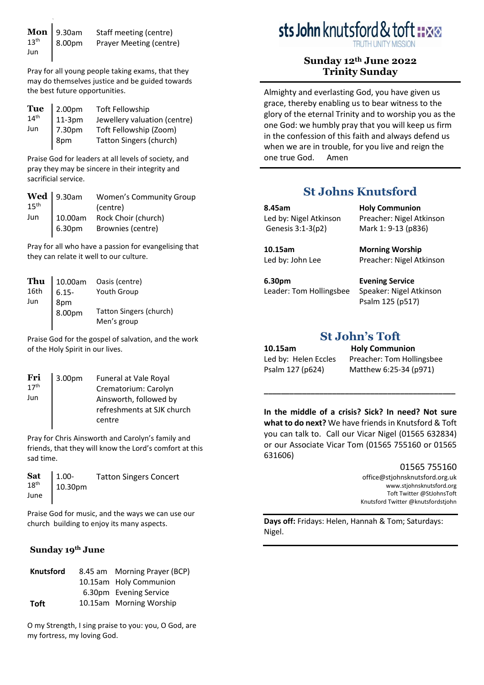|     | <b>Mon</b> 9.30am<br>$13^{th}$ 8.00pm | Staff meeting (centre)  |
|-----|---------------------------------------|-------------------------|
|     | 8.00pm                                | Prayer Meeting (centre) |
| Jun |                                       |                         |

Pray for all young people taking exams, that they may do themselves justice and be guided towards the best future opportunities.

|     | $\begin{array}{c} \textbf{Tu} \textbf{e} \\ 14^{\text{th}} \end{array} \begin{array}{c} \textbf{2.00pm} \\ \textbf{11-3pm} \end{array}$ | <b>Toft Fellowship</b>         |
|-----|-----------------------------------------------------------------------------------------------------------------------------------------|--------------------------------|
|     |                                                                                                                                         | Jewellery valuation (centre)   |
| Jun | 7.30pm                                                                                                                                  | Toft Fellowship (Zoom)         |
|     |                                                                                                                                         | <b>Tatton Singers (church)</b> |
|     | 8pm                                                                                                                                     |                                |

Praise God for leaders at all levels of society, and pray they may be sincere in their integrity and sacrificial service.

|     | $\left[\begin{array}{c}\n\text{Wed} \\ 15^{\text{th}}\n\end{array}\right]$ 9.30am | <b>Women's Community Group</b> |
|-----|-----------------------------------------------------------------------------------|--------------------------------|
|     |                                                                                   | (centre)                       |
| Jun | 10.00am                                                                           | Rock Choir (church)            |
|     | 6.30pm                                                                            | Brownies (centre)              |

Pray for all who have a passion for evangelising that they can relate it well to our culture.

| Thu  | 10.00am       | Oasis (centre)          |
|------|---------------|-------------------------|
| 16th | $6.15 -$      | <b>Youth Group</b>      |
| Jun  |               |                         |
|      | 8pm<br>8.00pm | Tatton Singers (church) |
|      |               | Men's group             |

Praise God for the gospel of salvation, and the work of the Holy Spirit in our lives.

| $\mathbf{Fri} \atop 17^{\text{th}}$ | 3.00pm | Funeral at Vale Royal      |
|-------------------------------------|--------|----------------------------|
|                                     |        | Crematorium: Carolyn       |
| Jun                                 |        | Ainsworth, followed by     |
|                                     |        | refreshments at SJK church |
|                                     |        | centre                     |
|                                     |        |                            |

Pray for Chris Ainsworth and Carolyn's family and friends, that they will know the Lord's comfort at this sad time.

|  | <b>Sat</b> $1.00$ - Tatton Singers Concert<br>18 <sup>th</sup> June 10.30pm |
|--|-----------------------------------------------------------------------------|
|  |                                                                             |
|  |                                                                             |

Praise God for music, and the ways we can use our church building to enjoy its many aspects.

# **Sunday 19th June**

| <b>Knutsford</b> | 8.45 am Morning Prayer (BCP) |
|------------------|------------------------------|
|                  | 10.15am Holy Communion       |
|                  | 6.30pm Evening Service       |
| <b>Toft</b>      | 10.15am Morning Worship      |

O my Strength, I sing praise to you: you, O God, are my fortress, my loving God.

# sts John knutsford & toft :: xx

# **Sunday 12th June 2022 Trinity Sunday**

Almighty and everlasting God, you have given us grace, thereby enabling us to bear witness to the glory of the eternal Trinity and to worship you as the one God: we humbly pray that you will keep us firm in the confession of this faith and always defend us when we are in trouble, for you live and reign the one true God. Amen

# **St Johns Knutsford**

| 8.45am                 | <b>Holy Communion</b>    |
|------------------------|--------------------------|
| Led by: Nigel Atkinson | Preacher: Nigel Atkinson |
| Genesis 3:1-3(p2)      | Mark 1: 9-13 (p836)      |
| 10.15am                | <b>Morning Worship</b>   |
| Led by: John Lee       | Preacher: Nigel Atkinson |

**6.30pm** Leader: Tom Hollingsbee

**Evening Service** Speaker: Nigel Atkinson Psalm 125 (p517)

# **St John's Toft**

**10.15am Holy Communion** Led by: Helen Eccles Preacher: Tom Hollingsbee Psalm 127 (p624) Matthew 6:25-34 (p971)

**In the middle of a crisis? Sick? In need? Not sure what to do next?** We have friends in Knutsford & Toft you can talk to. Call our Vicar Nigel (01565 632834) or our Associate Vicar Tom (01565 755160 or 01565 631606)

**\_\_\_\_\_\_\_\_\_\_\_\_\_\_\_\_\_\_\_\_\_\_\_\_\_\_\_\_\_\_\_\_\_\_\_\_\_\_\_\_\_\_\_\_\_** 

#### 01565 755160

[office@stjohnsknutsford.org.uk](mailto:office@stjohnsknutsford.org.uk) [www.stjohnsknutsford.org](http://www.stjohnsknutsford.org/) Toft Twitter @StJohnsToft Knutsford Twitter @knutsfordstjohn

**Days off:** Fridays: Helen, Hannah & Tom; Saturdays: Nigel.